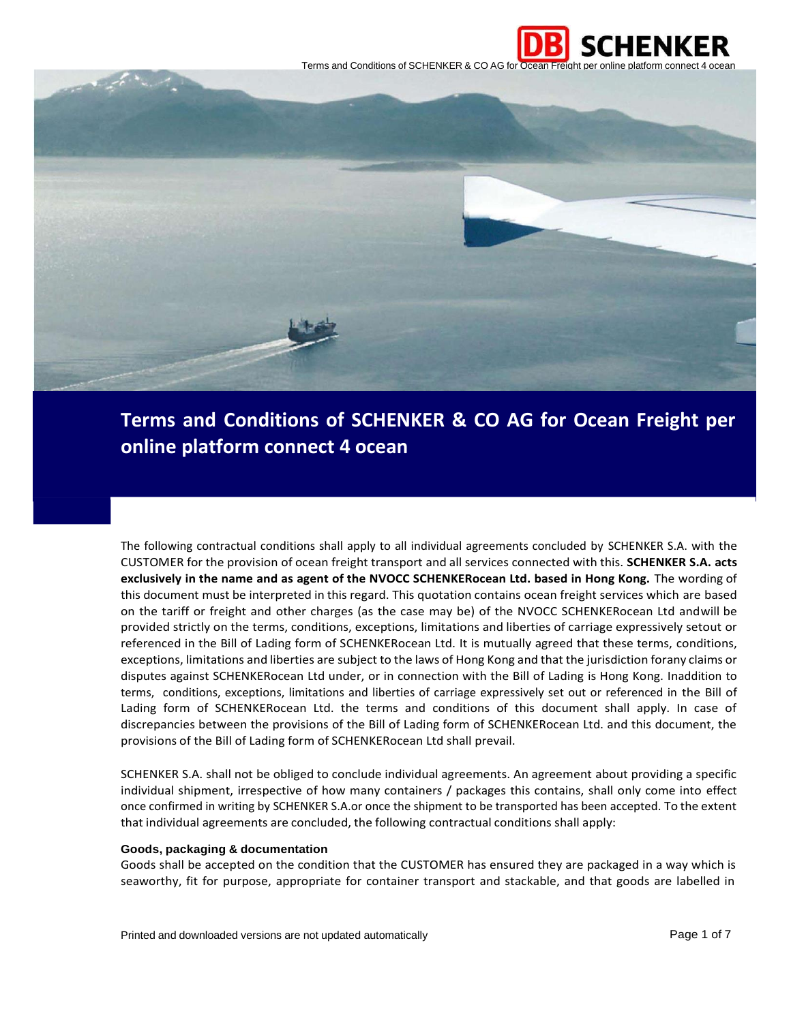



# **Terms and Conditions of SCHENKER & CO AG for Ocean Freight per online platform connect 4 ocean**

The following contractual conditions shall apply to all individual agreements concluded by SCHENKER S.A. with the CUSTOMER for the provision of ocean freight transport and all services connected with this. **SCHENKER S.A. acts exclusively in the name and as agent of the NVOCC SCHENKERocean Ltd. based in Hong Kong.** The wording of this document must be interpreted in this regard. This quotation contains ocean freight services which are based on the tariff or freight and other charges (as the case may be) of the NVOCC SCHENKERocean Ltd andwill be provided strictly on the terms, conditions, exceptions, limitations and liberties of carriage expressively setout or referenced in the Bill of Lading form of SCHENKERocean Ltd. It is mutually agreed that these terms, conditions, exceptions, limitations and liberties are subject to the laws of Hong Kong and that the jurisdiction forany claims or disputes against SCHENKERocean Ltd under, or in connection with the Bill of Lading is Hong Kong. Inaddition to terms, conditions, exceptions, limitations and liberties of carriage expressively set out or referenced in the Bill of Lading form of SCHENKERocean Ltd. the terms and conditions of this document shall apply. In case of discrepancies between the provisions of the Bill of Lading form of SCHENKERocean Ltd. and this document, the provisions of the Bill of Lading form of SCHENKERocean Ltd shall prevail.

SCHENKER S.A. shall not be obliged to conclude individual agreements. An agreement about providing a specific individual shipment, irrespective of how many containers / packages this contains, shall only come into effect once confirmed in writing by SCHENKER S.A.or once the shipment to be transported has been accepted. To the extent that individual agreements are concluded, the following contractual conditions shall apply:

## **Goods, packaging & documentation**

Goods shall be accepted on the condition that the CUSTOMER has ensured they are packaged in a way which is seaworthy, fit for purpose, appropriate for container transport and stackable, and that goods are labelled in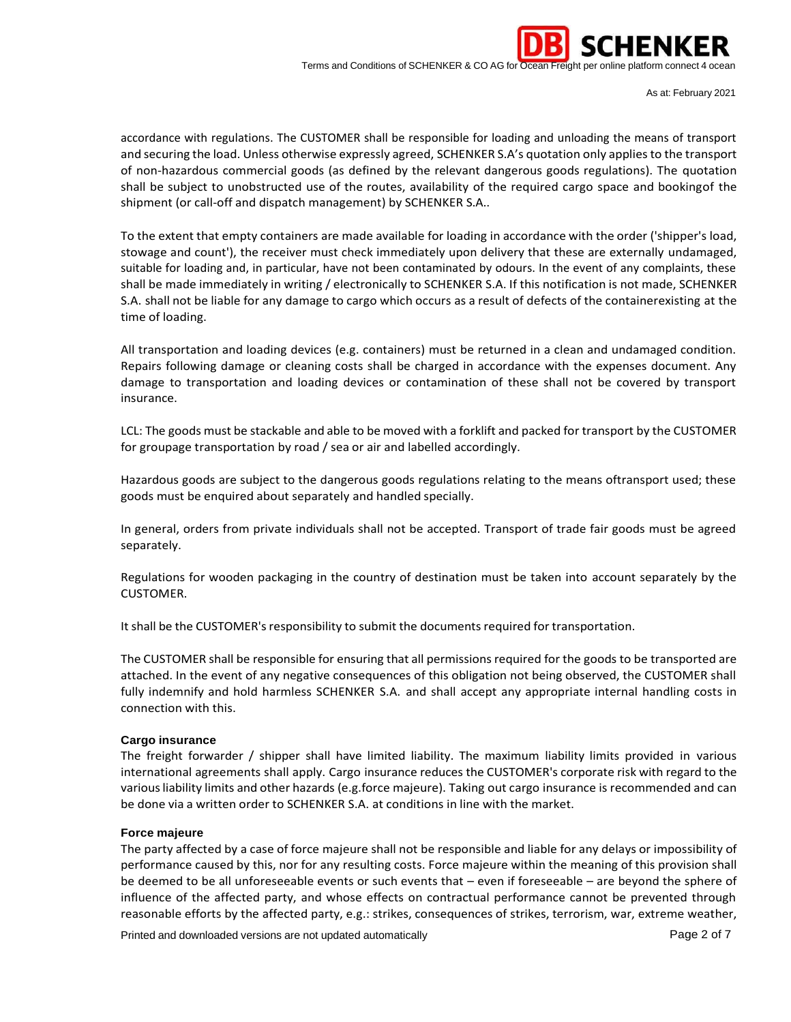

As at: February 2021

accordance with regulations. The CUSTOMER shall be responsible for loading and unloading the means of transport and securing the load. Unless otherwise expressly agreed, SCHENKER S.A's quotation only applies to the transport of non-hazardous commercial goods (as defined by the relevant dangerous goods regulations). The quotation shall be subject to unobstructed use of the routes, availability of the required cargo space and bookingof the shipment (or call-off and dispatch management) by SCHENKER S.A..

To the extent that empty containers are made available for loading in accordance with the order ('shipper's load, stowage and count'), the receiver must check immediately upon delivery that these are externally undamaged, suitable for loading and, in particular, have not been contaminated by odours. In the event of any complaints, these shall be made immediately in writing / electronically to SCHENKER S.A. If this notification is not made, SCHENKER S.A. shall not be liable for any damage to cargo which occurs as a result of defects of the containerexisting at the time of loading.

All transportation and loading devices (e.g. containers) must be returned in a clean and undamaged condition. Repairs following damage or cleaning costs shall be charged in accordance with the expenses document. Any damage to transportation and loading devices or contamination of these shall not be covered by transport insurance.

LCL: The goods must be stackable and able to be moved with a forklift and packed for transport by the CUSTOMER for groupage transportation by road / sea or air and labelled accordingly.

Hazardous goods are subject to the dangerous goods regulations relating to the means oftransport used; these goods must be enquired about separately and handled specially.

In general, orders from private individuals shall not be accepted. Transport of trade fair goods must be agreed separately.

Regulations for wooden packaging in the country of destination must be taken into account separately by the CUSTOMER.

It shall be the CUSTOMER's responsibility to submit the documents required for transportation.

The CUSTOMER shall be responsible for ensuring that all permissions required for the goods to be transported are attached. In the event of any negative consequences of this obligation not being observed, the CUSTOMER shall fully indemnify and hold harmless SCHENKER S.A. and shall accept any appropriate internal handling costs in connection with this.

# **Cargo insurance**

The freight forwarder / shipper shall have limited liability. The maximum liability limits provided in various international agreements shall apply. Cargo insurance reduces the CUSTOMER's corporate risk with regard to the variousliability limits and other hazards (e.g.force majeure). Taking out cargo insurance is recommended and can be done via a written order to SCHENKER S.A. at conditions in line with the market.

#### **Force majeure**

The party affected by a case of force majeure shall not be responsible and liable for any delays or impossibility of performance caused by this, nor for any resulting costs. Force majeure within the meaning of this provision shall be deemed to be all unforeseeable events or such events that – even if foreseeable – are beyond the sphere of influence of the affected party, and whose effects on contractual performance cannot be prevented through reasonable efforts by the affected party, e.g.: strikes, consequences of strikes, terrorism, war, extreme weather,

Printed and downloaded versions are not updated automatically example of the printed and downloaded versions are not updated automatically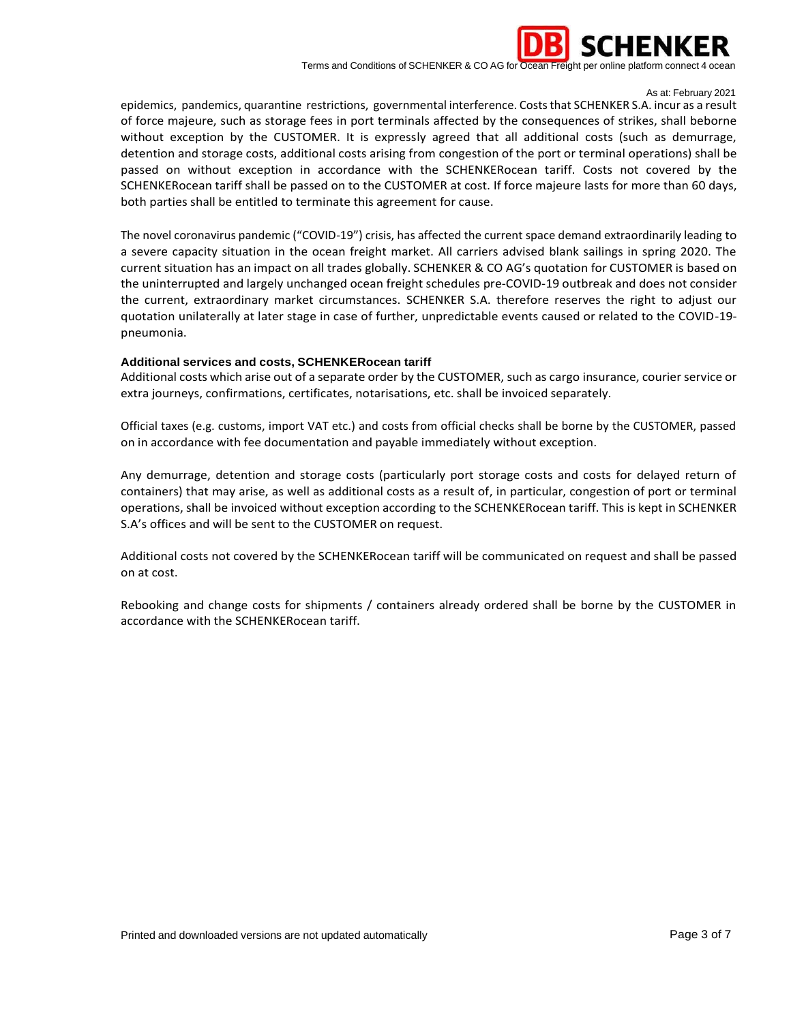

As at: February 2021

epidemics, pandemics, quarantine restrictions, governmental interference. Costs that SCHENKER S.A. incur as a result of force majeure, such as storage fees in port terminals affected by the consequences of strikes, shall beborne without exception by the CUSTOMER. It is expressly agreed that all additional costs (such as demurrage, detention and storage costs, additional costs arising from congestion of the port or terminal operations) shall be passed on without exception in accordance with the SCHENKERocean tariff. Costs not covered by the SCHENKERocean tariff shall be passed on to the CUSTOMER at cost. If force majeure lasts for more than 60 days, both parties shall be entitled to terminate this agreement for cause.

The novel coronavirus pandemic ("COVID-19") crisis, has affected the current space demand extraordinarily leading to a severe capacity situation in the ocean freight market. All carriers advised blank sailings in spring 2020. The current situation has an impact on all trades globally. SCHENKER & CO AG's quotation for CUSTOMER is based on the uninterrupted and largely unchanged ocean freight schedules pre-COVID-19 outbreak and does not consider the current, extraordinary market circumstances. SCHENKER S.A. therefore reserves the right to adjust our quotation unilaterally at later stage in case of further, unpredictable events caused or related to the COVID-19 pneumonia.

# **Additional services and costs, SCHENKERocean tariff**

Additional costs which arise out of a separate order by the CUSTOMER, such as cargo insurance, courier service or extra journeys, confirmations, certificates, notarisations, etc. shall be invoiced separately.

Official taxes (e.g. customs, import VAT etc.) and costs from official checks shall be borne by the CUSTOMER, passed on in accordance with fee documentation and payable immediately without exception.

Any demurrage, detention and storage costs (particularly port storage costs and costs for delayed return of containers) that may arise, as well as additional costs as a result of, in particular, congestion of port or terminal operations, shall be invoiced without exception according to the SCHENKERocean tariff. This is kept in SCHENKER S.A's offices and will be sent to the CUSTOMER on request.

Additional costs not covered by the SCHENKERocean tariff will be communicated on request and shall be passed on at cost.

Rebooking and change costs for shipments / containers already ordered shall be borne by the CUSTOMER in accordance with the SCHENKERocean tariff.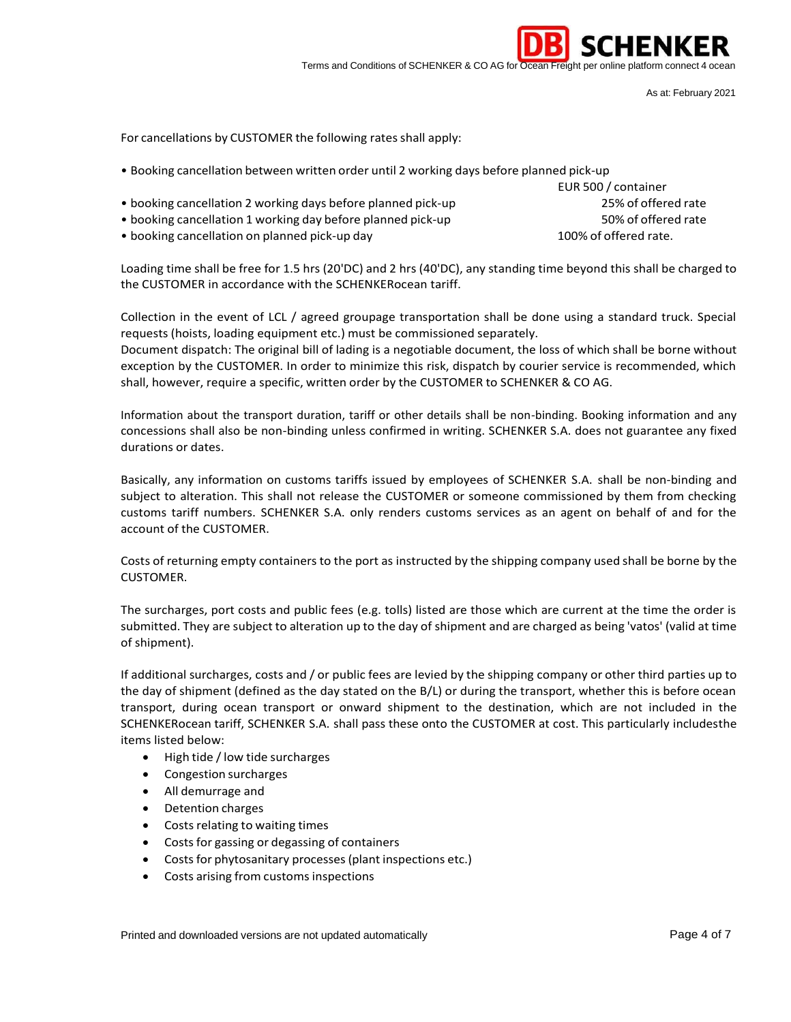

As at: February 2021

For cancellations by CUSTOMER the following rates shall apply:

• Booking cancellation between written order until 2 working days before planned pick-up

• booking cancellation 2 working days before planned pick-up 25% of offered rate • booking cancellation 1 working day before planned pick-up 50% of offered rate • booking cancellation on planned pick-up day 100% of offered rate.

EUR 500 / container

Loading time shall be free for 1.5 hrs (20'DC) and 2 hrs (40'DC), any standing time beyond this shall be charged to the CUSTOMER in accordance with the SCHENKERocean tariff.

Collection in the event of LCL / agreed groupage transportation shall be done using a standard truck. Special requests (hoists, loading equipment etc.) must be commissioned separately.

Document dispatch: The original bill of lading is a negotiable document, the loss of which shall be borne without exception by the CUSTOMER. In order to minimize this risk, dispatch by courier service is recommended, which shall, however, require a specific, written order by the CUSTOMER to SCHENKER & CO AG.

Information about the transport duration, tariff or other details shall be non-binding. Booking information and any concessions shall also be non-binding unless confirmed in writing. SCHENKER S.A. does not guarantee any fixed durations or dates.

Basically, any information on customs tariffs issued by employees of SCHENKER S.A. shall be non-binding and subject to alteration. This shall not release the CUSTOMER or someone commissioned by them from checking customs tariff numbers. SCHENKER S.A. only renders customs services as an agent on behalf of and for the account of the CUSTOMER.

Costs of returning empty containers to the port as instructed by the shipping company used shall be borne by the CUSTOMER.

The surcharges, port costs and public fees (e.g. tolls) listed are those which are current at the time the order is submitted. They are subject to alteration up to the day of shipment and are charged as being 'vatos' (valid at time of shipment).

If additional surcharges, costs and / or public fees are levied by the shipping company or other third parties up to the day of shipment (defined as the day stated on the B/L) or during the transport, whether this is before ocean transport, during ocean transport or onward shipment to the destination, which are not included in the SCHENKERocean tariff, SCHENKER S.A. shall pass these onto the CUSTOMER at cost. This particularly includesthe items listed below:

- High tide / low tide surcharges
- Congestion surcharges
- All demurrage and
- Detention charges
- Costs relating to waiting times
- Costs for gassing or degassing of containers
- Costs for phytosanitary processes (plant inspections etc.)
- Costs arising from customs inspections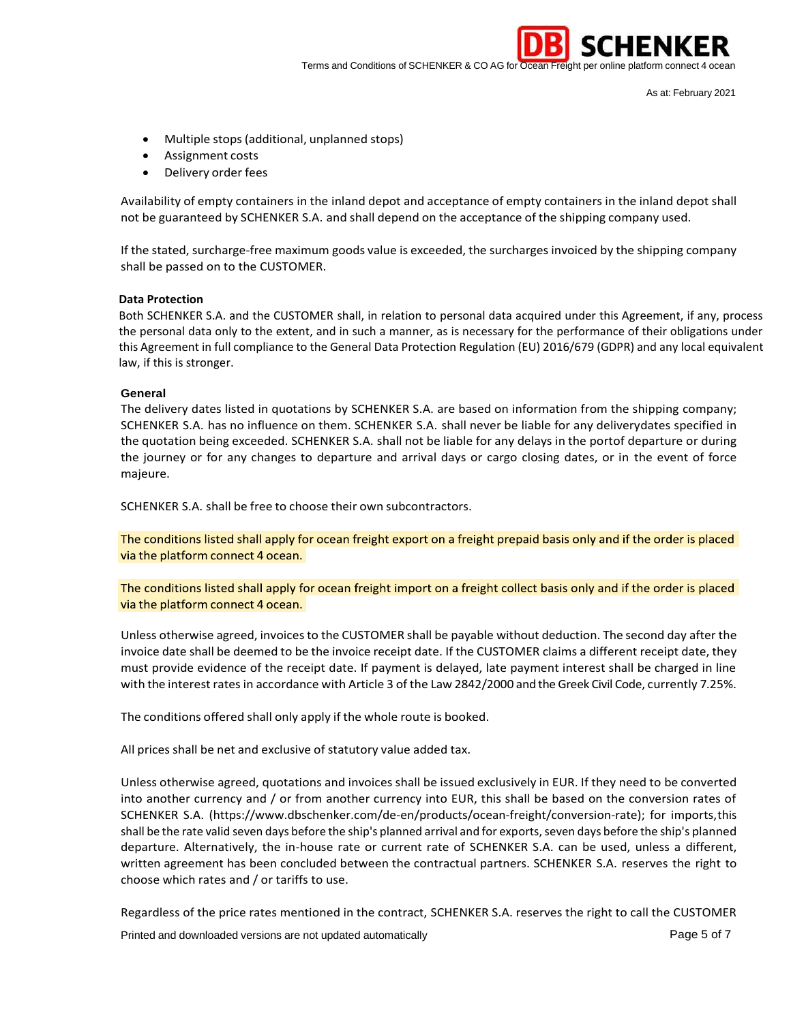

As at: February 2021

**SCHENKER** 

- Multiple stops (additional, unplanned stops)
- Assignment costs
- Delivery order fees

Availability of empty containers in the inland depot and acceptance of empty containers in the inland depot shall not be guaranteed by SCHENKER S.A. and shall depend on the acceptance of the shipping company used.

If the stated, surcharge-free maximum goods value is exceeded, the surchargesinvoiced by the shipping company shall be passed on to the CUSTOMER.

# **Data Protection**

Both SCHENKER S.A. and the CUSTOMER shall, in relation to personal data acquired under this Agreement, if any, process the personal data only to the extent, and in such a manner, as is necessary for the performance of their obligations under this Agreement in full compliance to the General Data Protection Regulation (EU) 2016/679 (GDPR) and any local equivalent law, if this is stronger.

## **General**

The delivery dates listed in quotations by SCHENKER S.A. are based on information from the shipping company; SCHENKER S.A. has no influence on them. SCHENKER S.A. shall never be liable for any deliverydates specified in the quotation being exceeded. SCHENKER S.A. shall not be liable for any delays in the portof departure or during the journey or for any changes to departure and arrival days or cargo closing dates, or in the event of force majeure.

SCHENKER S.A. shall be free to choose their own subcontractors.

The conditions listed shall apply for ocean freight export on a freight prepaid basis only and if the order is placed via the platform connect 4 ocean.

The conditions listed shall apply for ocean freight import on a freight collect basis only and if the order is placed via the platform connect 4 ocean.

Unless otherwise agreed, invoices to the CUSTOMER shall be payable without deduction. The second day after the invoice date shall be deemed to be the invoice receipt date. If the CUSTOMER claims a different receipt date, they must provide evidence of the receipt date. If payment is delayed, late payment interest shall be charged in line with the interest ratesin accordance with Article 3 of the Law 2842/2000 and the Greek Civil Code, currently 7.25%.

The conditions offered shall only apply if the whole route is booked.

All prices shall be net and exclusive of statutory value added tax.

Unless otherwise agreed, quotations and invoices shall be issued exclusively in EUR. If they need to be converted into another currency and / or from another currency into EUR, this shall be based on the conversion rates of SCHENKER S.A. (https:/[/www.dbschenker.com/de-en/products/ocean-freight/conversion-rate\); f](http://www.dbschenker.com/de-en/products/ocean-freight/conversion-rate)%3B)or imports,this shall be the rate valid seven days before the ship's planned arrival and for exports, seven days before the ship's planned departure. Alternatively, the in-house rate or current rate of SCHENKER S.A. can be used, unless a different, written agreement has been concluded between the contractual partners. SCHENKER S.A. reserves the right to choose which rates and / or tariffs to use.

Regardless of the price rates mentioned in the contract, SCHENKER S.A. reserves the right to call the CUSTOMER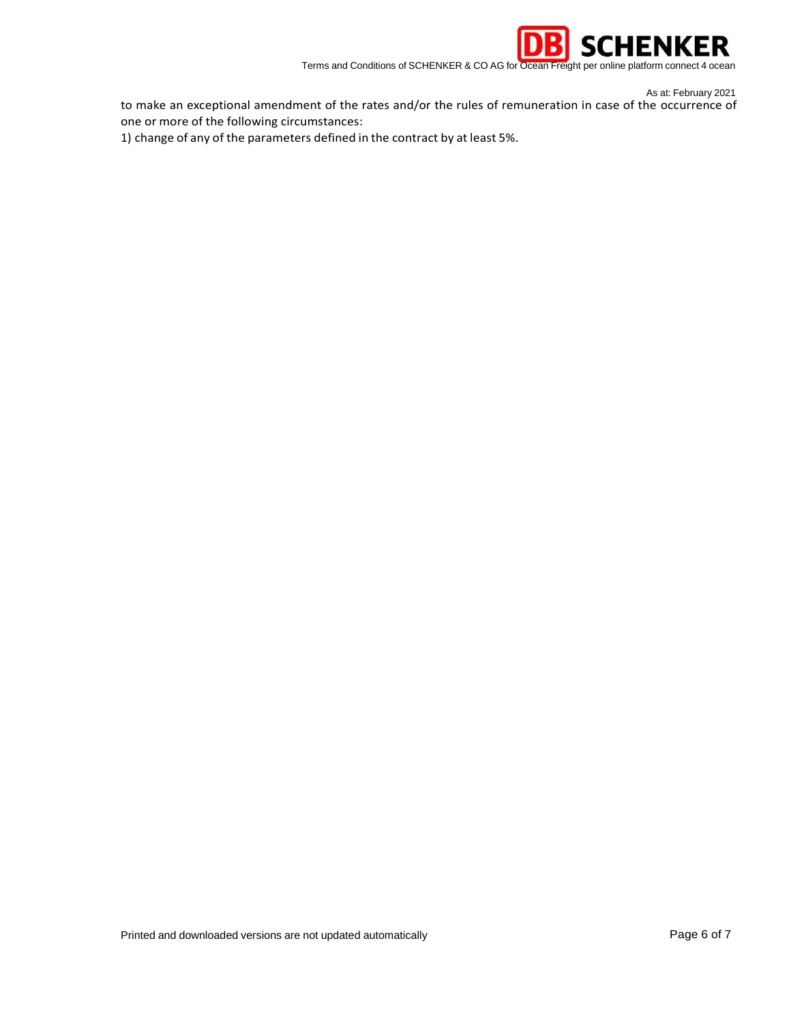

As at: February 2021

to make an exceptional amendment of the rates and/or the rules of remuneration in case of the occurrence of one or more of the following circumstances:

1) change of any of the parameters defined in the contract by at least 5%.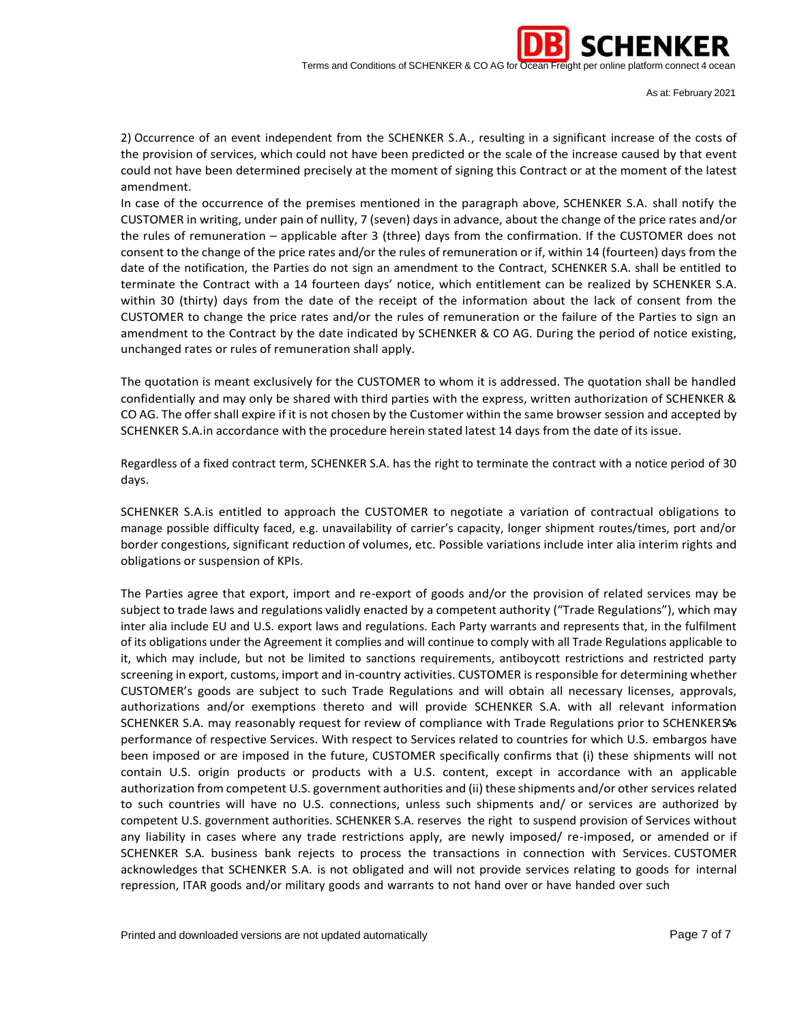

As at: February 2021

2) Occurrence of an event independent from the SCHENKER S.A., resulting in a significant increase of the costs of the provision of services, which could not have been predicted or the scale of the increase caused by that event could not have been determined precisely at the moment of signing this Contract or at the moment of the latest amendment.

In case of the occurrence of the premises mentioned in the paragraph above, SCHENKER S.A. shall notify the CUSTOMER in writing, under pain of nullity, 7 (seven) days in advance, about the change of the price rates and/or the rules of remuneration – applicable after 3 (three) days from the confirmation. If the CUSTOMER does not consent to the change of the price rates and/or the rules of remuneration or if, within 14 (fourteen) days from the date of the notification, the Parties do not sign an amendment to the Contract, SCHENKER S.A. shall be entitled to terminate the Contract with a 14 fourteen days' notice, which entitlement can be realized by SCHENKER S.A. within 30 (thirty) days from the date of the receipt of the information about the lack of consent from the CUSTOMER to change the price rates and/or the rules of remuneration or the failure of the Parties to sign an amendment to the Contract by the date indicated by SCHENKER & CO AG. During the period of notice existing, unchanged rates or rules of remuneration shall apply.

The quotation is meant exclusively for the CUSTOMER to whom it is addressed. The quotation shall be handled confidentially and may only be shared with third parties with the express, written authorization of SCHENKER & CO AG. The offershall expire if it is not chosen by the Customer within the same browser session and accepted by SCHENKER S.A.in accordance with the procedure herein stated latest 14 days from the date of its issue.

Regardless of a fixed contract term, SCHENKER S.A. has the right to terminate the contract with a notice period of 30 days.

SCHENKER S.A.is entitled to approach the CUSTOMER to negotiate a variation of contractual obligations to manage possible difficulty faced, e.g. unavailability of carrier's capacity, longer shipment routes/times, port and/or border congestions, significant reduction of volumes, etc. Possible variations include inter alia interim rights and obligations or suspension of KPIs.

The Parties agree that export, import and re-export of goods and/or the provision of related services may be subject to trade laws and regulations validly enacted by a competent authority ("Trade Regulations"), which may inter alia include EU and U.S. export laws and regulations. Each Party warrants and represents that, in the fulfilment of its obligations under the Agreement it complies and will continue to comply with all Trade Regulations applicable to it, which may include, but not be limited to sanctions requirements, antiboycott restrictions and restricted party screening in export, customs, import and in-country activities. CUSTOMER is responsible for determining whether CUSTOMER's goods are subject to such Trade Regulations and will obtain all necessary licenses, approvals, authorizations and/or exemptions thereto and will provide SCHENKER S.A. with all relevant information SCHENKER S.A. may reasonably request for review of compliance with Trade Regulations prior to SCHENKERSAS performance of respective Services. With respect to Services related to countries for which U.S. embargos have been imposed or are imposed in the future, CUSTOMER specifically confirms that (i) these shipments will not contain U.S. origin products or products with a U.S. content, except in accordance with an applicable authorization from competent U.S. government authorities and (ii) these shipments and/or other services related to such countries will have no U.S. connections, unless such shipments and/ or services are authorized by competent U.S. government authorities. SCHENKER S.A. reserves the right to suspend provision of Services without any liability in cases where any trade restrictions apply, are newly imposed/ re-imposed, or amended or if SCHENKER S.A. business bank rejects to process the transactions in connection with Services. CUSTOMER acknowledges that SCHENKER S.A. is not obligated and will not provide services relating to goods for internal repression, ITAR goods and/or military goods and warrants to not hand over or have handed over such